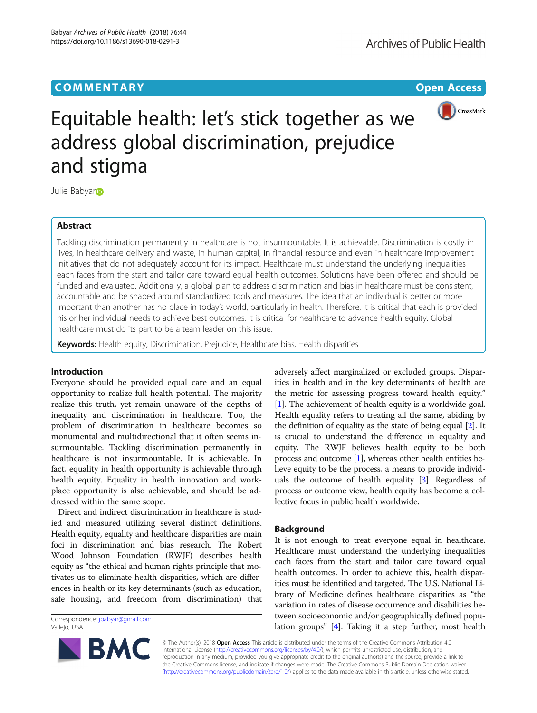# **COMMENTARY COMMENTARY Open Access**



# Equitable health: let's stick together as we address global discrimination, prejudice and stigma

Julie Babya[r](http://orcid.org/0000-0001-7844-9797)<sup>®</sup>

## Abstract

Tackling discrimination permanently in healthcare is not insurmountable. It is achievable. Discrimination is costly in lives, in healthcare delivery and waste, in human capital, in financial resource and even in healthcare improvement initiatives that do not adequately account for its impact. Healthcare must understand the underlying inequalities each faces from the start and tailor care toward equal health outcomes. Solutions have been offered and should be funded and evaluated. Additionally, a global plan to address discrimination and bias in healthcare must be consistent, accountable and be shaped around standardized tools and measures. The idea that an individual is better or more important than another has no place in today's world, particularly in health. Therefore, it is critical that each is provided his or her individual needs to achieve best outcomes. It is critical for healthcare to advance health equity. Global healthcare must do its part to be a team leader on this issue.

Keywords: Health equity, Discrimination, Prejudice, Healthcare bias, Health disparities

## Introduction

Everyone should be provided equal care and an equal opportunity to realize full health potential. The majority realize this truth, yet remain unaware of the depths of inequality and discrimination in healthcare. Too, the problem of discrimination in healthcare becomes so monumental and multidirectional that it often seems insurmountable. Tackling discrimination permanently in healthcare is not insurmountable. It is achievable. In fact, equality in health opportunity is achievable through health equity. Equality in health innovation and workplace opportunity is also achievable, and should be addressed within the same scope.

Direct and indirect discrimination in healthcare is studied and measured utilizing several distinct definitions. Health equity, equality and healthcare disparities are main foci in discrimination and bias research. The Robert Wood Johnson Foundation (RWJF) describes health equity as "the ethical and human rights principle that motivates us to eliminate health disparities, which are differences in health or its key determinants (such as education, safe housing, and freedom from discrimination) that

Correspondence: [jbabyar@gmail.com](mailto:jbabyar@gmail.com) Vallejo, USA



adversely affect marginalized or excluded groups. Disparities in health and in the key determinants of health are the metric for assessing progress toward health equity." [1]. The achievement of health equity is a worldwide goal. Health equality refers to treating all the same, abiding by the definition of equality as the state of being equal [2]. It is crucial to understand the difference in equality and equity. The RWJF believes health equity to be both process and outcome [1], whereas other health entities believe equity to be the process, a means to provide individuals the outcome of health equality [3]. Regardless of process or outcome view, health equity has become a collective focus in public health worldwide.

## Background

It is not enough to treat everyone equal in healthcare. Healthcare must understand the underlying inequalities each faces from the start and tailor care toward equal health outcomes. In order to achieve this, health disparities must be identified and targeted. The U.S. National Library of Medicine defines healthcare disparities as "the variation in rates of disease occurrence and disabilities between socioeconomic and/or geographically defined population groups" [4]. Taking it a step further, most health

© The Author(s). 2018 **Open Access** This article is distributed under the terms of the Creative Commons Attribution 4.0 International License [\(http://creativecommons.org/licenses/by/4.0/](http://creativecommons.org/licenses/by/4.0/)), which permits unrestricted use, distribution, and reproduction in any medium, provided you give appropriate credit to the original author(s) and the source, provide a link to the Creative Commons license, and indicate if changes were made. The Creative Commons Public Domain Dedication waiver [\(http://creativecommons.org/publicdomain/zero/1.0/](http://creativecommons.org/publicdomain/zero/1.0/)) applies to the data made available in this article, unless otherwise stated.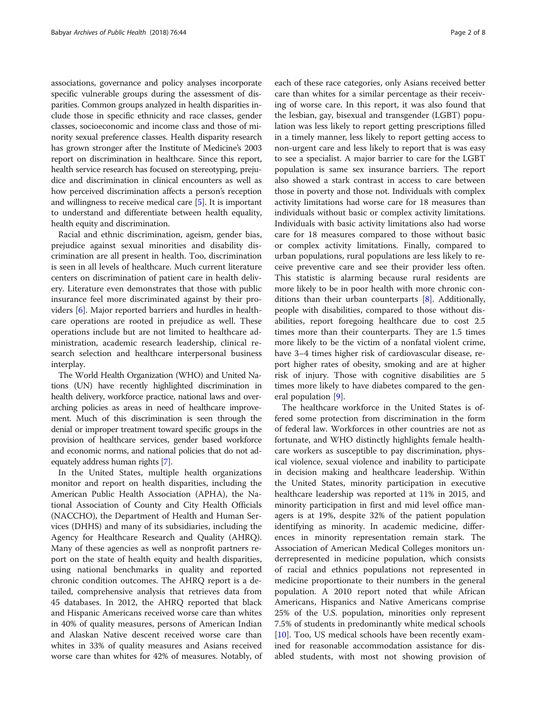associations, governance and policy analyses incorporate specific vulnerable groups during the assessment of disparities. Common groups analyzed in health disparities include those in specific ethnicity and race classes, gender classes, socioeconomic and income class and those of minority sexual preference classes. Health disparity research has grown stronger after the Institute of Medicine's 2003 report on discrimination in healthcare. Since this report, health service research has focused on stereotyping, prejudice and discrimination in clinical encounters as well as how perceived discrimination affects a person's reception and willingness to receive medical care [5]. It is important to understand and differentiate between health equality, health equity and discrimination.

Racial and ethnic discrimination, ageism, gender bias, prejudice against sexual minorities and disability discrimination are all present in health. Too, discrimination is seen in all levels of healthcare. Much current literature centers on discrimination of patient care in health delivery. Literature even demonstrates that those with public insurance feel more discriminated against by their providers [6]. Major reported barriers and hurdles in healthcare operations are rooted in prejudice as well. These operations include but are not limited to healthcare administration, academic research leadership, clinical research selection and healthcare interpersonal business interplay.

The World Health Organization (WHO) and United Nations (UN) have recently highlighted discrimination in health delivery, workforce practice, national laws and overarching policies as areas in need of healthcare improvement. Much of this discrimination is seen through the denial or improper treatment toward specific groups in the provision of healthcare services, gender based workforce and economic norms, and national policies that do not adequately address human rights [7].

In the United States, multiple health organizations monitor and report on health disparities, including the American Public Health Association (APHA), the National Association of County and City Health Officials (NACCHO), the Department of Health and Human Services (DHHS) and many of its subsidiaries, including the Agency for Healthcare Research and Quality (AHRQ). Many of these agencies as well as nonprofit partners report on the state of health equity and health disparities, using national benchmarks in quality and reported chronic condition outcomes. The AHRQ report is a detailed, comprehensive analysis that retrieves data from 45 databases. In 2012, the AHRQ reported that black and Hispanic Americans received worse care than whites in 40% of quality measures, persons of American Indian and Alaskan Native descent received worse care than whites in 33% of quality measures and Asians received worse care than whites for 42% of measures. Notably, of

each of these race categories, only Asians received better care than whites for a similar percentage as their receiving of worse care. In this report, it was also found that the lesbian, gay, bisexual and transgender (LGBT) population was less likely to report getting prescriptions filled in a timely manner, less likely to report getting access to non-urgent care and less likely to report that is was easy to see a specialist. A major barrier to care for the LGBT population is same sex insurance barriers. The report also showed a stark contrast in access to care between those in poverty and those not. Individuals with complex activity limitations had worse care for 18 measures than individuals without basic or complex activity limitations. Individuals with basic activity limitations also had worse care for 18 measures compared to those without basic or complex activity limitations. Finally, compared to urban populations, rural populations are less likely to receive preventive care and see their provider less often. This statistic is alarming because rural residents are more likely to be in poor health with more chronic conditions than their urban counterparts [8]. Additionally, people with disabilities, compared to those without disabilities, report foregoing healthcare due to cost 2.5 times more than their counterparts. They are 1.5 times more likely to be the victim of a nonfatal violent crime, have 3–4 times higher risk of cardiovascular disease, report higher rates of obesity, smoking and are at higher risk of injury. Those with cognitive disabilities are 5 times more likely to have diabetes compared to the general population [9].

The healthcare workforce in the United States is offered some protection from discrimination in the form of federal law. Workforces in other countries are not as fortunate, and WHO distinctly highlights female healthcare workers as susceptible to pay discrimination, physical violence, sexual violence and inability to participate in decision making and healthcare leadership. Within the United States, minority participation in executive healthcare leadership was reported at 11% in 2015, and minority participation in first and mid level office managers is at 19%, despite 32% of the patient population identifying as minority. In academic medicine, differences in minority representation remain stark. The Association of American Medical Colleges monitors underrepresented in medicine population, which consists of racial and ethnics populations not represented in medicine proportionate to their numbers in the general population. A 2010 report noted that while African Americans, Hispanics and Native Americans comprise 25% of the U.S. population, minorities only represent 7.5% of students in predominantly white medical schools [10]. Too, US medical schools have been recently examined for reasonable accommodation assistance for disabled students, with most not showing provision of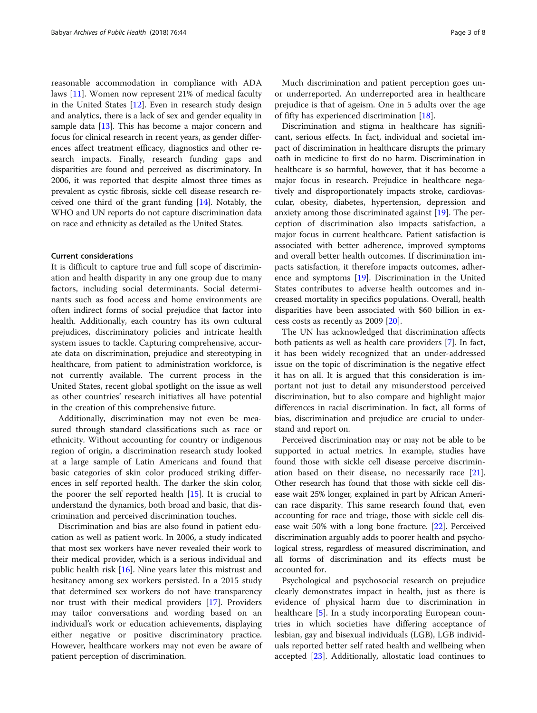reasonable accommodation in compliance with ADA laws [11]. Women now represent 21% of medical faculty in the United States [12]. Even in research study design and analytics, there is a lack of sex and gender equality in sample data [13]. This has become a major concern and focus for clinical research in recent years, as gender differences affect treatment efficacy, diagnostics and other research impacts. Finally, research funding gaps and disparities are found and perceived as discriminatory. In 2006, it was reported that despite almost three times as prevalent as cystic fibrosis, sickle cell disease research received one third of the grant funding [14]. Notably, the WHO and UN reports do not capture discrimination data on race and ethnicity as detailed as the United States.

#### Current considerations

It is difficult to capture true and full scope of discrimination and health disparity in any one group due to many factors, including social determinants. Social determinants such as food access and home environments are often indirect forms of social prejudice that factor into health. Additionally, each country has its own cultural prejudices, discriminatory policies and intricate health system issues to tackle. Capturing comprehensive, accurate data on discrimination, prejudice and stereotyping in healthcare, from patient to administration workforce, is not currently available. The current process in the United States, recent global spotlight on the issue as well as other countries' research initiatives all have potential in the creation of this comprehensive future.

Additionally, discrimination may not even be measured through standard classifications such as race or ethnicity. Without accounting for country or indigenous region of origin, a discrimination research study looked at a large sample of Latin Americans and found that basic categories of skin color produced striking differences in self reported health. The darker the skin color, the poorer the self reported health [15]. It is crucial to understand the dynamics, both broad and basic, that discrimination and perceived discrimination touches.

Discrimination and bias are also found in patient education as well as patient work. In 2006, a study indicated that most sex workers have never revealed their work to their medical provider, which is a serious individual and public health risk [16]. Nine years later this mistrust and hesitancy among sex workers persisted. In a 2015 study that determined sex workers do not have transparency nor trust with their medical providers [17]. Providers may tailor conversations and wording based on an individual's work or education achievements, displaying either negative or positive discriminatory practice. However, healthcare workers may not even be aware of patient perception of discrimination.

Much discrimination and patient perception goes unor underreported. An underreported area in healthcare prejudice is that of ageism. One in 5 adults over the age of fifty has experienced discrimination [18].

Discrimination and stigma in healthcare has significant, serious effects. In fact, individual and societal impact of discrimination in healthcare disrupts the primary oath in medicine to first do no harm. Discrimination in healthcare is so harmful, however, that it has become a major focus in research. Prejudice in healthcare negatively and disproportionately impacts stroke, cardiovascular, obesity, diabetes, hypertension, depression and anxiety among those discriminated against [19]. The perception of discrimination also impacts satisfaction, a major focus in current healthcare. Patient satisfaction is associated with better adherence, improved symptoms and overall better health outcomes. If discrimination impacts satisfaction, it therefore impacts outcomes, adherence and symptoms [19]. Discrimination in the United States contributes to adverse health outcomes and increased mortality in specifics populations. Overall, health disparities have been associated with \$60 billion in excess costs as recently as 2009 [20].

The UN has acknowledged that discrimination affects both patients as well as health care providers [7]. In fact, it has been widely recognized that an under-addressed issue on the topic of discrimination is the negative effect it has on all. It is argued that this consideration is important not just to detail any misunderstood perceived discrimination, but to also compare and highlight major differences in racial discrimination. In fact, all forms of bias, discrimination and prejudice are crucial to understand and report on.

Perceived discrimination may or may not be able to be supported in actual metrics. In example, studies have found those with sickle cell disease perceive discrimination based on their disease, no necessarily race [21]. Other research has found that those with sickle cell disease wait 25% longer, explained in part by African American race disparity. This same research found that, even accounting for race and triage, those with sickle cell disease wait 50% with a long bone fracture. [22]. Perceived discrimination arguably adds to poorer health and psychological stress, regardless of measured discrimination, and all forms of discrimination and its effects must be accounted for.

Psychological and psychosocial research on prejudice clearly demonstrates impact in health, just as there is evidence of physical harm due to discrimination in healthcare [5]. In a study incorporating European countries in which societies have differing acceptance of lesbian, gay and bisexual individuals (LGB), LGB individuals reported better self rated health and wellbeing when accepted [23]. Additionally, allostatic load continues to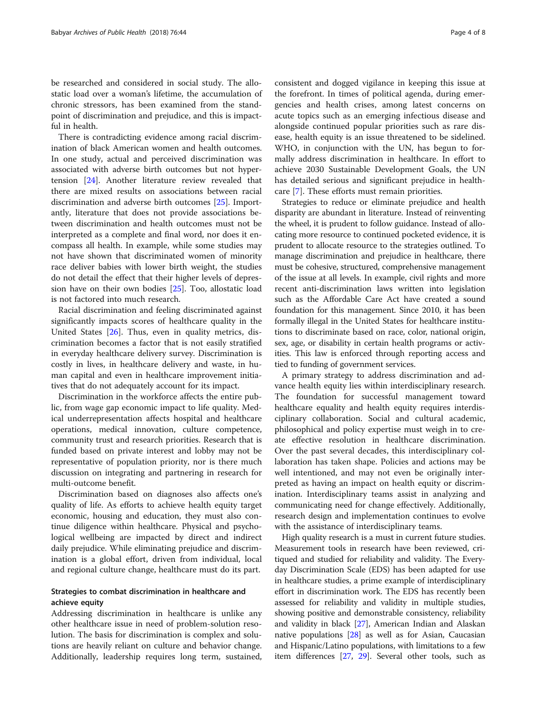be researched and considered in social study. The allostatic load over a woman's lifetime, the accumulation of chronic stressors, has been examined from the standpoint of discrimination and prejudice, and this is impactful in health.

There is contradicting evidence among racial discrimination of black American women and health outcomes. In one study, actual and perceived discrimination was associated with adverse birth outcomes but not hypertension [24]. Another literature review revealed that there are mixed results on associations between racial discrimination and adverse birth outcomes [25]. Importantly, literature that does not provide associations between discrimination and health outcomes must not be interpreted as a complete and final word, nor does it encompass all health. In example, while some studies may not have shown that discriminated women of minority race deliver babies with lower birth weight, the studies do not detail the effect that their higher levels of depression have on their own bodies [25]. Too, allostatic load is not factored into much research.

Racial discrimination and feeling discriminated against significantly impacts scores of healthcare quality in the United States [26]. Thus, even in quality metrics, discrimination becomes a factor that is not easily stratified in everyday healthcare delivery survey. Discrimination is costly in lives, in healthcare delivery and waste, in human capital and even in healthcare improvement initiatives that do not adequately account for its impact.

Discrimination in the workforce affects the entire public, from wage gap economic impact to life quality. Medical underrepresentation affects hospital and healthcare operations, medical innovation, culture competence, community trust and research priorities. Research that is funded based on private interest and lobby may not be representative of population priority, nor is there much discussion on integrating and partnering in research for multi-outcome benefit.

Discrimination based on diagnoses also affects one's quality of life. As efforts to achieve health equity target economic, housing and education, they must also continue diligence within healthcare. Physical and psychological wellbeing are impacted by direct and indirect daily prejudice. While eliminating prejudice and discrimination is a global effort, driven from individual, local and regional culture change, healthcare must do its part.

## Strategies to combat discrimination in healthcare and achieve equity

Addressing discrimination in healthcare is unlike any other healthcare issue in need of problem-solution resolution. The basis for discrimination is complex and solutions are heavily reliant on culture and behavior change. Additionally, leadership requires long term, sustained,

consistent and dogged vigilance in keeping this issue at the forefront. In times of political agenda, during emergencies and health crises, among latest concerns on acute topics such as an emerging infectious disease and alongside continued popular priorities such as rare disease, health equity is an issue threatened to be sidelined. WHO, in conjunction with the UN, has begun to formally address discrimination in healthcare. In effort to achieve 2030 Sustainable Development Goals, the UN has detailed serious and significant prejudice in healthcare [7]. These efforts must remain priorities.

Strategies to reduce or eliminate prejudice and health disparity are abundant in literature. Instead of reinventing the wheel, it is prudent to follow guidance. Instead of allocating more resource to continued pocketed evidence, it is prudent to allocate resource to the strategies outlined. To manage discrimination and prejudice in healthcare, there must be cohesive, structured, comprehensive management of the issue at all levels. In example, civil rights and more recent anti-discrimination laws written into legislation such as the Affordable Care Act have created a sound foundation for this management. Since 2010, it has been formally illegal in the United States for healthcare institutions to discriminate based on race, color, national origin, sex, age, or disability in certain health programs or activities. This law is enforced through reporting access and tied to funding of government services.

A primary strategy to address discrimination and advance health equity lies within interdisciplinary research. The foundation for successful management toward healthcare equality and health equity requires interdisciplinary collaboration. Social and cultural academic, philosophical and policy expertise must weigh in to create effective resolution in healthcare discrimination. Over the past several decades, this interdisciplinary collaboration has taken shape. Policies and actions may be well intentioned, and may not even be originally interpreted as having an impact on health equity or discrimination. Interdisciplinary teams assist in analyzing and communicating need for change effectively. Additionally, research design and implementation continues to evolve with the assistance of interdisciplinary teams.

High quality research is a must in current future studies. Measurement tools in research have been reviewed, critiqued and studied for reliability and validity. The Everyday Discrimination Scale (EDS) has been adapted for use in healthcare studies, a prime example of interdisciplinary effort in discrimination work. The EDS has recently been assessed for reliability and validity in multiple studies, showing positive and demonstrable consistency, reliability and validity in black [27], American Indian and Alaskan native populations  $[28]$  as well as for Asian, Caucasian and Hispanic/Latino populations, with limitations to a few item differences [27, 29]. Several other tools, such as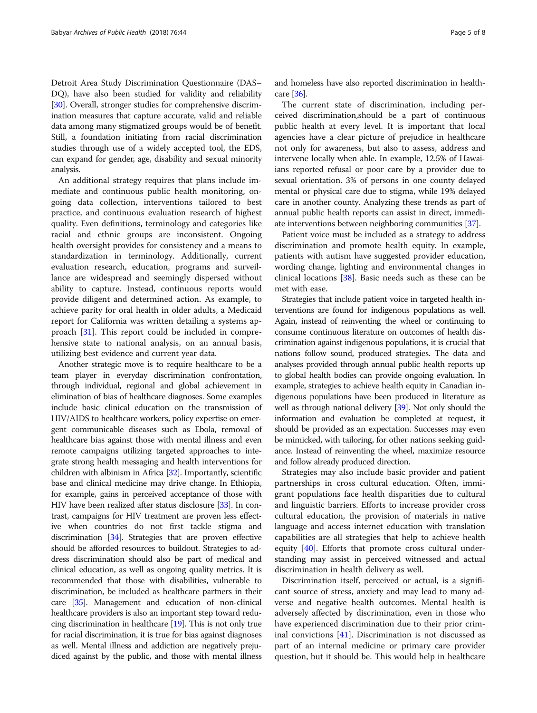Detroit Area Study Discrimination Questionnaire (DAS– DQ), have also been studied for validity and reliability [30]. Overall, stronger studies for comprehensive discrimination measures that capture accurate, valid and reliable data among many stigmatized groups would be of benefit. Still, a foundation initiating from racial discrimination studies through use of a widely accepted tool, the EDS, can expand for gender, age, disability and sexual minority analysis.

An additional strategy requires that plans include immediate and continuous public health monitoring, ongoing data collection, interventions tailored to best practice, and continuous evaluation research of highest quality. Even definitions, terminology and categories like racial and ethnic groups are inconsistent. Ongoing health oversight provides for consistency and a means to standardization in terminology. Additionally, current evaluation research, education, programs and surveillance are widespread and seemingly dispersed without ability to capture. Instead, continuous reports would provide diligent and determined action. As example, to achieve parity for oral health in older adults, a Medicaid report for California was written detailing a systems approach [31]. This report could be included in comprehensive state to national analysis, on an annual basis, utilizing best evidence and current year data.

Another strategic move is to require healthcare to be a team player in everyday discrimination confrontation, through individual, regional and global achievement in elimination of bias of healthcare diagnoses. Some examples include basic clinical education on the transmission of HIV/AIDS to healthcare workers, policy expertise on emergent communicable diseases such as Ebola, removal of healthcare bias against those with mental illness and even remote campaigns utilizing targeted approaches to integrate strong health messaging and health interventions for children with albinism in Africa [32]. Importantly, scientific base and clinical medicine may drive change. In Ethiopia, for example, gains in perceived acceptance of those with HIV have been realized after status disclosure [33]. In contrast, campaigns for HIV treatment are proven less effective when countries do not first tackle stigma and discrimination [34]. Strategies that are proven effective should be afforded resources to buildout. Strategies to address discrimination should also be part of medical and clinical education, as well as ongoing quality metrics. It is recommended that those with disabilities, vulnerable to discrimination, be included as healthcare partners in their care [35]. Management and education of non-clinical healthcare providers is also an important step toward reducing discrimination in healthcare [19]. This is not only true for racial discrimination, it is true for bias against diagnoses as well. Mental illness and addiction are negatively prejudiced against by the public, and those with mental illness and homeless have also reported discrimination in healthcare [36].

The current state of discrimination, including perceived discrimination,should be a part of continuous public health at every level. It is important that local agencies have a clear picture of prejudice in healthcare not only for awareness, but also to assess, address and intervene locally when able. In example, 12.5% of Hawaiians reported refusal or poor care by a provider due to sexual orientation. 3% of persons in one county delayed mental or physical care due to stigma, while 19% delayed care in another county. Analyzing these trends as part of annual public health reports can assist in direct, immediate interventions between neighboring communities [37].

Patient voice must be included as a strategy to address discrimination and promote health equity. In example, patients with autism have suggested provider education, wording change, lighting and environmental changes in clinical locations [38]. Basic needs such as these can be met with ease.

Strategies that include patient voice in targeted health interventions are found for indigenous populations as well. Again, instead of reinventing the wheel or continuing to consume continuous literature on outcomes of health discrimination against indigenous populations, it is crucial that nations follow sound, produced strategies. The data and analyses provided through annual public health reports up to global health bodies can provide ongoing evaluation. In example, strategies to achieve health equity in Canadian indigenous populations have been produced in literature as well as through national delivery [39]. Not only should the information and evaluation be completed at request, it should be provided as an expectation. Successes may even be mimicked, with tailoring, for other nations seeking guidance. Instead of reinventing the wheel, maximize resource and follow already produced direction.

Strategies may also include basic provider and patient partnerships in cross cultural education. Often, immigrant populations face health disparities due to cultural and linguistic barriers. Efforts to increase provider cross cultural education, the provision of materials in native language and access internet education with translation capabilities are all strategies that help to achieve health equity  $[40]$ . Efforts that promote cross cultural understanding may assist in perceived witnessed and actual discrimination in health delivery as well.

Discrimination itself, perceived or actual, is a significant source of stress, anxiety and may lead to many adverse and negative health outcomes. Mental health is adversely affected by discrimination, even in those who have experienced discrimination due to their prior criminal convictions [41]. Discrimination is not discussed as part of an internal medicine or primary care provider question, but it should be. This would help in healthcare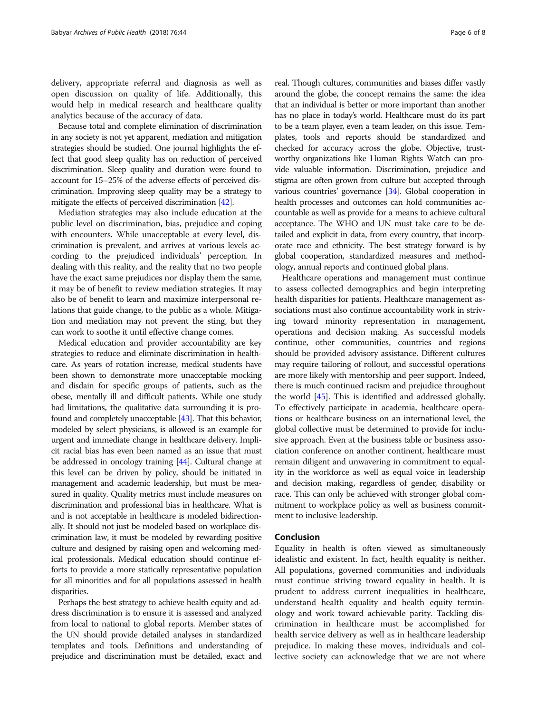delivery, appropriate referral and diagnosis as well as open discussion on quality of life. Additionally, this would help in medical research and healthcare quality analytics because of the accuracy of data.

Because total and complete elimination of discrimination in any society is not yet apparent, mediation and mitigation strategies should be studied. One journal highlights the effect that good sleep quality has on reduction of perceived discrimination. Sleep quality and duration were found to account for 15–25% of the adverse effects of perceived discrimination. Improving sleep quality may be a strategy to mitigate the effects of perceived discrimination [42].

Mediation strategies may also include education at the public level on discrimination, bias, prejudice and coping with encounters. While unacceptable at every level, discrimination is prevalent, and arrives at various levels according to the prejudiced individuals' perception. In dealing with this reality, and the reality that no two people have the exact same prejudices nor display them the same, it may be of benefit to review mediation strategies. It may also be of benefit to learn and maximize interpersonal relations that guide change, to the public as a whole. Mitigation and mediation may not prevent the sting, but they can work to soothe it until effective change comes.

Medical education and provider accountability are key strategies to reduce and eliminate discrimination in healthcare. As years of rotation increase, medical students have been shown to demonstrate more unacceptable mocking and disdain for specific groups of patients, such as the obese, mentally ill and difficult patients. While one study had limitations, the qualitative data surrounding it is profound and completely unacceptable [43]. That this behavior, modeled by select physicians, is allowed is an example for urgent and immediate change in healthcare delivery. Implicit racial bias has even been named as an issue that must be addressed in oncology training [44]. Cultural change at this level can be driven by policy, should be initiated in management and academic leadership, but must be measured in quality. Quality metrics must include measures on discrimination and professional bias in healthcare. What is and is not acceptable in healthcare is modeled bidirectionally. It should not just be modeled based on workplace discrimination law, it must be modeled by rewarding positive culture and designed by raising open and welcoming medical professionals. Medical education should continue efforts to provide a more statically representative population for all minorities and for all populations assessed in health disparities.

Perhaps the best strategy to achieve health equity and address discrimination is to ensure it is assessed and analyzed from local to national to global reports. Member states of the UN should provide detailed analyses in standardized templates and tools. Definitions and understanding of prejudice and discrimination must be detailed, exact and

real. Though cultures, communities and biases differ vastly around the globe, the concept remains the same: the idea that an individual is better or more important than another has no place in today's world. Healthcare must do its part to be a team player, even a team leader, on this issue. Templates, tools and reports should be standardized and checked for accuracy across the globe. Objective, trustworthy organizations like Human Rights Watch can provide valuable information. Discrimination, prejudice and stigma are often grown from culture but accepted through various countries' governance [34]. Global cooperation in health processes and outcomes can hold communities accountable as well as provide for a means to achieve cultural acceptance. The WHO and UN must take care to be detailed and explicit in data, from every country, that incorporate race and ethnicity. The best strategy forward is by global cooperation, standardized measures and methodology, annual reports and continued global plans.

Healthcare operations and management must continue to assess collected demographics and begin interpreting health disparities for patients. Healthcare management associations must also continue accountability work in striving toward minority representation in management, operations and decision making. As successful models continue, other communities, countries and regions should be provided advisory assistance. Different cultures may require tailoring of rollout, and successful operations are more likely with mentorship and peer support. Indeed, there is much continued racism and prejudice throughout the world [45]. This is identified and addressed globally. To effectively participate in academia, healthcare operations or healthcare business on an international level, the global collective must be determined to provide for inclusive approach. Even at the business table or business association conference on another continent, healthcare must remain diligent and unwavering in commitment to equality in the workforce as well as equal voice in leadership and decision making, regardless of gender, disability or race. This can only be achieved with stronger global commitment to workplace policy as well as business commitment to inclusive leadership.

## Conclusion

Equality in health is often viewed as simultaneously idealistic and existent. In fact, health equality is neither. All populations, governed communities and individuals must continue striving toward equality in health. It is prudent to address current inequalities in healthcare, understand health equality and health equity terminology and work toward achievable parity. Tackling discrimination in healthcare must be accomplished for health service delivery as well as in healthcare leadership prejudice. In making these moves, individuals and collective society can acknowledge that we are not where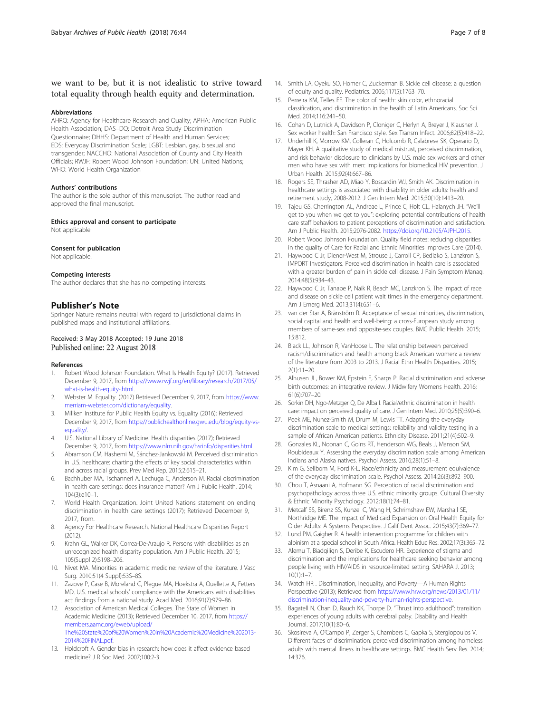## we want to be, but it is not idealistic to strive toward total equality through health equity and determination.

#### Abbreviations

AHRQ: Agency for Healthcare Research and Quality; APHA: American Public Health Association; DAS–DQ: Detroit Area Study Discrimination Questionnaire; DHHS: Department of Health and Human Services; EDS: Everyday Discrimination Scale; LGBT: Lesbian, gay, bisexual and transgender; NACCHO: National Association of County and City Health Officials; RWJF: Robert Wood Johnson Foundation; UN: United Nations; WHO: World Health Organization

#### Authors' contributions

The author is the sole author of this manuscript. The author read and approved the final manuscript.

#### Ethics approval and consent to participate

Not applicable

#### Consent for publication

Not applicable.

#### Competing interests

The author declares that she has no competing interests.

### Publisher's Note

Springer Nature remains neutral with regard to jurisdictional claims in published maps and institutional affiliations.

#### Received: 3 May 2018 Accepted: 19 June 2018 Published online: 22 August 2018

#### References

- 1. Robert Wood Johnson Foundation. What Is Health Equity? (2017). Retrieved December 9, 2017, from [https://www.rwjf.org/en/library/research/2017/05/](https://www.rwjf.org/en/library/research/2017/05/what-is-health-equity-.html) [what-is-health-equity-.html](https://www.rwjf.org/en/library/research/2017/05/what-is-health-equity-.html).
- 2. Webster M. Equality. (2017) Retrieved December 9, 2017, from [https://www.](https://www.merriam-webster.com/dictionary/equality) [merriam-webster.com/dictionary/equality](https://www.merriam-webster.com/dictionary/equality).
- 3. Miliken Institute for Public Health Equity vs. Equality (2016); Retrieved December 9, 2017, from [https://publichealthonline.gwu.edu/blog/equity-vs](https://publichealthonline.gwu.edu/blog/equity-vs-equality/)[equality/.](https://publichealthonline.gwu.edu/blog/equity-vs-equality/)
- 4. U.S. National Library of Medicine. Health disparities (2017); Retrieved December 9, 2017, from <https://www.nlm.nih.gov/hsrinfo/disparities.html>.
- 5. Abramson CM, Hashemi M, Sánchez-Jankowski M. Perceived discrimination in U.S. healthcare: charting the effects of key social characteristics within and across racial groups. Prev Med Rep. 2015;2:615–21.
- 6. Bachhuber MA, Tschannerl A, Lechuga C, Anderson M. Racial discrimination in health care settings: does insurance matter? Am J Public Health. 2014; 104(3):e10–1.
- 7. World Health Organization. Joint United Nations statement on ending discrimination in health care settings (2017); Retrieved December 9, 2017, from.
- 8. Agency For Healthcare Research. National Healthcare Disparities Report (2012).
- 9. Krahn GL, Walker DK, Correa-De-Araujo R. Persons with disabilities as an unrecognized health disparity population. Am J Public Health. 2015; 105(Suppl 2):S198–206.
- 10. Nivet MA. Minorities in academic medicine: review of the literature. J Vasc Surg. 2010;51(4 Suppl):53S–8S.
- 11. Zazove P, Case B, Moreland C, Plegue MA, Hoekstra A, Ouellette A, Fetters MD. U.S. medical schools' compliance with the Americans with disabilities act: findings from a national study. Acad Med. 2016;91(7):979–86.
- 12. Association of American Medical Colleges. The State of Women in Academic Medicine (2013); Retrieved December 10, 2017, from [https://](https://members.aamc.org/eweb/upload/The%20State%20of%20Women%20in%20Academic%20Medicine%202013-2014%20FINAL.pdf) [members.aamc.org/eweb/upload/](https://members.aamc.org/eweb/upload/The%20State%20of%20Women%20in%20Academic%20Medicine%202013-2014%20FINAL.pdf) [The%20State%20of%20Women%20in%20Academic%20Medicine%202013-](https://members.aamc.org/eweb/upload/The%20State%20of%20Women%20in%20Academic%20Medicine%202013-2014%20FINAL.pdf) [2014%20FINAL.pdf.](https://members.aamc.org/eweb/upload/The%20State%20of%20Women%20in%20Academic%20Medicine%202013-2014%20FINAL.pdf)
- 13. Holdcroft A. Gender bias in research: how does it affect evidence based medicine? J R Soc Med. 2007;100:2-3.
- 14. Smith LA, Oyeku SO, Homer C, Zuckerman B. Sickle cell disease: a question of equity and quality. Pediatrics. 2006;117(5):1763–70.
- 15. Perreira KM, Telles EE. The color of health: skin color, ethnoracial classification, and discrimination in the health of Latin Americans. Soc Sci Med. 2014;116:241–50.
- 16. Cohan D, Lutnick A, Davidson P, Cloniger C, Herlyn A, Breyer J, Klausner J. Sex worker health: San Francisco style. Sex Transm Infect. 2006;82(5):418–22.
- 17. Underhill K, Morrow KM, Colleran C, Holcomb R, Calabrese SK, Operario D, Mayer KH. A qualitative study of medical mistrust, perceived discrimination, and risk behavior disclosure to clinicians by U.S. male sex workers and other men who have sex with men: implications for biomedical HIV prevention. J Urban Health. 2015;92(4):667–86.
- 18. Rogers SE, Thrasher AD, Miao Y, Boscardin WJ, Smith AK. Discrimination in healthcare settings is associated with disability in older adults: health and retirement study, 2008-2012. J Gen Intern Med. 2015;30(10):1413–20.
- 19. Tajeu GS, Cherrington AL, Andreae L, Prince C, Holt CL, Halanych JH. "We'll get to you when we get to you": exploring potential contributions of health care staff behaviors to patient perceptions of discrimination and satisfaction. Am J Public Health. 2015;2076-2082. [https://doi.org/10.2105/AJPH.2015.](https://doi.org/10.2105/AJPH.2015)
- 20. Robert Wood Johnson Foundation. Quality field notes: reducing disparities in the quality of Care for Racial and Ethnic Minorities Improves Care (2014).
- 21. Haywood C Jr, Diener-West M, Strouse J, Carroll CP, Bediako S, Lanzkron S, IMPORT Investigators. Perceived discrimination in health care is associated with a greater burden of pain in sickle cell disease. J Pain Symptom Manag. 2014;48(5):934–43.
- 22. Haywood C Jr, Tanabe P, Naik R, Beach MC, Lanzkron S. The impact of race and disease on sickle cell patient wait times in the emergency department. Am J Emerg Med. 2013;31(4):651–6.
- 23. van der Star A, Bränström R. Acceptance of sexual minorities, discrimination, social capital and health and well-being: a cross-European study among members of same-sex and opposite-sex couples. BMC Public Health. 2015; 15:812.
- 24. Black LL, Johnson R, VanHoose L. The relationship between perceived racism/discrimination and health among black American women: a review of the literature from 2003 to 2013. J Racial Ethn Health Disparities. 2015; 2(1):11–20.
- 25. Alhusen JL, Bower KM, Epstein E, Sharps P. Racial discrimination and adverse birth outcomes: an integrative review. J Midwifery Womens Health. 2016; 61(6):707–20.
- 26. Sorkin DH, Ngo-Metzger Q, De Alba I. Racial/ethnic discrimination in health care: impact on perceived quality of care. J Gen Intern Med. 2010;25(5):390–6.
- 27. Peek ME, Nunez-Smith M, Drum M, Lewis TT. Adapting the everyday discrimination scale to medical settings: reliability and validity testing in a sample of African American patients. Ethnicity Disease. 2011;21(4):502–9.
- 28. Gonzales KL, Noonan C, Goins RT, Henderson WG, Beals J, Manson SM, Roubideaux Y. Assessing the everyday discrimination scale among American Indians and Alaska natives. Psychol Assess. 2016;28(1):51–8.
- 29. Kim G, Sellbom M, Ford K-L. Race/ethnicity and measurement equivalence of the everyday discrimination scale. Psychol Assess. 2014;26(3):892–900.
- 30. Chou T, Asnaani A, Hofmann SG. Perception of racial discrimination and psychopathology across three U.S. ethnic minority groups. Cultural Diversity & Ethnic Minority Psychology. 2012;18(1):74–81.
- 31. Metcalf SS, Birenz SS, Kunzel C, Wang H, Schrimshaw EW, Marshall SE, Northridge ME. The Impact of Medicaid Expansion on Oral Health Equity for Older Adults: A Systems Perspective. J Calif Dent Assoc. 2015;43(7):369–77.
- 32. Lund PM, Gaigher R. A health intervention programme for children with albinism at a special school in South Africa. Health Educ Res. 2002;17(3):365–72.
- 33. Alemu T, Biadgilign S, Deribe K, Escudero HR. Experience of stigma and discrimination and the implications for healthcare seeking behavior among people living with HIV/AIDS in resource-limited setting. SAHARA J. 2013;  $10(1):1-7$ .
- 34. Watch HR . Discrimination, Inequality, and Poverty—A Human Rights Perspective (2013); Retrieved from [https://www.hrw.org/news/2013/01/11/](https://www.hrw.org/news/2013/01/11/discrimination-inequality-and-poverty-human-rights-perspective) [discrimination-inequality-and-poverty-human-rights-perspective](https://www.hrw.org/news/2013/01/11/discrimination-inequality-and-poverty-human-rights-perspective).
- 35. Bagatell N, Chan D, Rauch KK, Thorpe D. "Thrust into adulthood": transition experiences of young adults with cerebral palsy. Disability and Health Journal. 2017;10(1):80–6.
- 36. Skosireva A, O'Campo P, Zerger S, Chambers C, Gapka S, Stergiopoulos V. Different faces of discrimination: perceived discrimination among homeless adults with mental illness in healthcare settings. BMC Health Serv Res. 2014; 14:376.